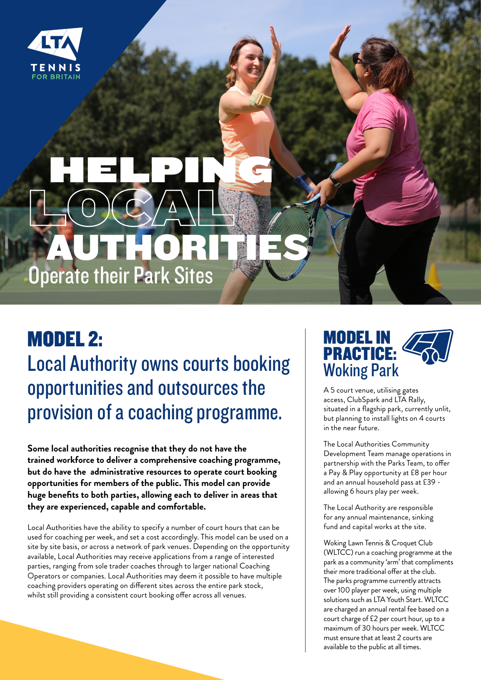

# AUTHORITIES LOCAL HELPING Operate their Park Sites

### MODEL 2: Local Authority owns courts booking opportunities and outsources the provision of a coaching programme.

**Some local authorities recognise that they do not have the trained workforce to deliver a comprehensive coaching programme, but do have the administrative resources to operate court booking opportunities for members of the public. This model can provide huge benefits to both parties, allowing each to deliver in areas that they are experienced, capable and comfortable.** 

Local Authorities have the ability to specify a number of court hours that can be used for coaching per week, and set a cost accordingly. This model can be used on a site by site basis, or across a network of park venues. Depending on the opportunity available, Local Authorities may receive applications from a range of interested parties, ranging from sole trader coaches through to larger national Coaching Operators or companies. Local Authorities may deem it possible to have multiple coaching providers operating on different sites across the entire park stock, whilst still providing a consistent court booking offer across all venues.



A 5 court venue, utilising gates access, ClubSpark and LTA Rally, situated in a flagship park, currently unlit, but planning to install lights on 4 courts in the near future.

The Local Authorities Community Development Team manage operations in partnership with the Parks Team, to offer a Pay & Play opportunity at £8 per hour and an annual household pass at £39 allowing 6 hours play per week.

The Local Authority are responsible for any annual maintenance, sinking fund and capital works at the site.

Woking Lawn Tennis & Croquet Club (WLTCC) run a coaching programme at the park as a community 'arm' that compliments their more traditional offer at the club. The parks programme currently attracts over 100 player per week, using multiple solutions such as LTA Youth Start. WLTCC are charged an annual rental fee based on a court charge of £2 per court hour, up to a maximum of 30 hours per week. WLTCC must ensure that at least 2 courts are available to the public at all times.